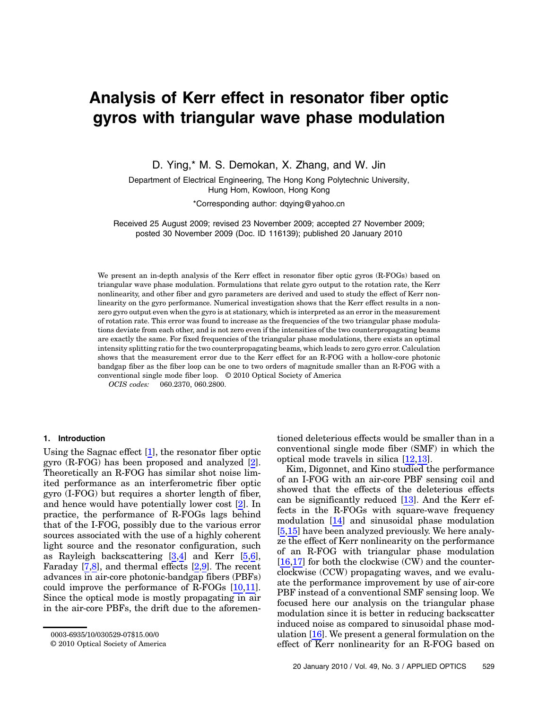# Analysis of Kerr effect in resonator fiber optic gyros with triangular wave phase modulation

D. Ying,\* M. S. Demokan, X. Zhang, and W. Jin

Department of Electrical Engineering, The Hong Kong Polytechnic University, Hung Hom, Kowloon, Hong Kong

\*Corresponding author: dqying@yahoo.cn

Received 25 August 2009; revised 23 November 2009; accepted 27 November 2009; posted 30 November 2009 (Doc. ID 116139); published 20 January 2010

We present an in-depth analysis of the Kerr effect in resonator fiber optic gyros (R-FOGs) based on triangular wave phase modulation. Formulations that relate gyro output to the rotation rate, the Kerr nonlinearity, and other fiber and gyro parameters are derived and used to study the effect of Kerr nonlinearity on the gyro performance. Numerical investigation shows that the Kerr effect results in a nonzero gyro output even when the gyro is at stationary, which is interpreted as an error in the measurement of rotation rate. This error was found to increase as the frequencies of the two triangular phase modulations deviate from each other, and is not zero even if the intensities of the two counterpropagating beams are exactly the same. For fixed frequencies of the triangular phase modulations, there exists an optimal intensity splitting ratio for the two counterpropagating beams, which leads to zero gyro error. Calculation shows that the measurement error due to the Kerr effect for an R-FOG with a hollow-core photonic bandgap fiber as the fiber loop can be one to two orders of magnitude smaller than an R-FOG with a conventional single mode fiber loop. © 2010 Optical Society of America

OCIS codes: 060.2370, 060.2800.

### 1. Introduction

Using the Sagnac effect [1], the resonator fiber optic gyro (R-FOG) has been proposed and analyzed [2]. Theoretically an R-FOG has similar shot noise limited performance as an interferometric fiber optic gyro (I-FOG) but requires a shorter length of fiber, and hence would have potentially lower cost [2]. In practice, the performance of R-FOGs lags behind that of the I-FOG, possibly due to the various error sources associated with the use of a highly coherent light source and the resonator configuration, such as Rayleigh backscattering [3,4] and Kerr [5,6], Faraday [7,8], and thermal effects [2,9]. The recent advances in air-core photonic-bandgap fibers (PBFs) could improve the performance of R-FOGs [10,11]. Since the optical mode is mostly propagating in air in the air-core PBFs, the drift due to the aforementioned deleterious effects would be smaller than in a conventional single mode fiber (SMF) in which the optical mode travels in silica [12,13].

Kim, Digonnet, and Kino studied the performance of an I-FOG with an air-core PBF sensing coil and showed that the effects of the deleterious effects can be significantly reduced [13]. And the Kerr effects in the R-FOGs with square-wave frequency modulation [14] and sinusoidal phase modulation [5,15] have been analyzed previously. We here analyze the effect of Kerr nonlinearity on the performance of an R-FOG with triangular phase modulation [16,17] for both the clockwise (CW) and the counterclockwise (CCW) propagating waves, and we evaluate the performance improvement by use of air-core PBF instead of a conventional SMF sensing loop. We focused here our analysis on the triangular phase modulation since it is better in reducing backscatter induced noise as compared to sinusoidal phase modulation [16]. We present a general formulation on the effect of Kerr nonlinearity for an R-FOG based on

<sup>0003-6935/10/030529-07\$15.00/0</sup>

<sup>© 2010</sup> Optical Society of America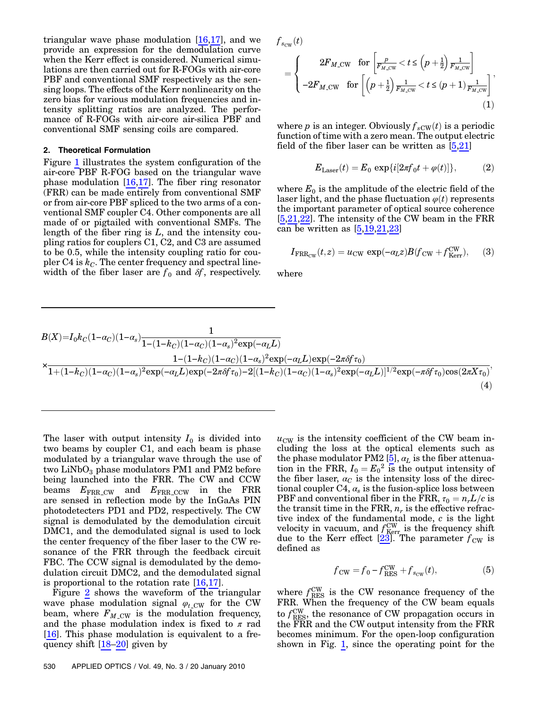triangular wave phase modulation  $[16,17]$ , and we provide an expression for the demodulation curve when the Kerr effect is considered. Numerical simulations are then carried out for R-FOGs with air-core PBF and conventional SMF respectively as the sensing loops. The effects of the Kerr nonlinearity on the zero bias for various modulation frequencies and intensity splitting ratios are analyzed. The performance of R-FOGs with air-core air-silica PBF and conventional SMF sensing coils are compared.

# 2. Theoretical Formulation

Figure [1](#page-2-0) illustrates the system configuration of the air-core PBF R-FOG based on the triangular wave phase modulation  $[16,17]$ . The fiber ring resonator (FRR) can be made entirely from conventional SMF or from air-core PBF spliced to the two arms of a conventional SMF coupler C4. Other components are all made of or pigtailed with conventional SMFs. The length of the fiber ring is  $L$ , and the intensity coupling ratios for couplers C1, C2, and C3 are assumed to be 0.5, while the intensity coupling ratio for coupler C4 is  $k<sub>C</sub>$ . The center frequency and spectral linewidth of the fiber laser are  $f_0$  and  $\delta f$ , respectively.

<span id="page-1-0"></span>
$$
f_{s_{\text{CW}}}(t) = \begin{cases} 2F_{M,\text{CW}} & \text{for } \left[ \frac{p}{F_{M,\text{CW}}} < t \le (p + \frac{1}{2}) \frac{1}{F_{M,\text{CW}}} \right] \\ -2F_{M,\text{CW}} & \text{for } \left[ \left( p + \frac{1}{2} \right) \frac{1}{F_{M,\text{CW}}} < t \le (p + 1) \frac{1}{F_{M,\text{CW}}} \right], \end{cases} \tag{1}
$$

where p is an integer. Obviously  $f_{sCW}(t)$  is a periodic function of time with a zero mean. The output electric field of the fiber laser can be written as [5,21]

$$
E_{\text{Laser}}(t) = E_0 \exp\{i[2\pi f_0 t + \varphi(t)]\},\tag{2}
$$

<span id="page-1-1"></span>where  $E_0$  is the amplitude of the electric field of the laser light, and the phase fluctuation  $\varphi(t)$  represents the important parameter of optical source coherence [5,21,22]. The intensity of the CW beam in the FRR can be written as  $[5,19,21,23]$ 

$$
I_{\text{FRR}_{\text{CW}}}(t,z) = u_{\text{CW}} \exp(-\alpha_L z) B(f_{\text{CW}} + f_{\text{Kerr}}^{\text{CW}}), \quad (3)
$$

where

$$
B(X)=I_0k_C(1-\alpha_C)(1-\alpha_s)\frac{1}{1-(1-k_C)(1-\alpha_C)(1-\alpha_s)^2\exp(-\alpha_L L)}\times\frac{1- (1-k_C)(1-\alpha_C)(1-\alpha_s)^2\exp(-\alpha_L L)\exp(-2\pi\delta f\tau_0)}{1+(1-k_C)(1-\alpha_C)(1-\alpha_s)^2\exp(-\alpha_L L)\exp(-2\pi\delta f\tau_0)-2[(1-k_C)(1-\alpha_C)(1-\alpha_s)^2\exp(-\alpha_L L)]^{1/2}\exp(-\pi\delta f\tau_0)\cos(2\pi X\tau_0)},
$$
\n(4)

The laser with output intensity  $I_0$  is divided into two beams by coupler C1, and each beam is phase modulated by a triangular wave through the use of two  $LiNbO<sub>3</sub>$  phase modulators PM1 and PM2 before being launched into the FRR. The CW and CCW beams  $E_{\rm FRR\_CW}$  and  $E_{\rm FRR\_CCW}$  in the FRR are sensed in reflection mode by the InGaAs PIN photodetecters PD1 and PD2, respectively. The CW signal is demodulated by the demodulation circuit DMC1, and the demodulated signal is used to lock the center frequency of the fiber laser to the CW resonance of the FRR through the feedback circuit FBC. The CCW signal is demodulated by the demodulation circuit DMC2, and the demodulated signal is proportional to the rotation rate [16,17].

Figure [2](#page-2-1) shows the waveform of the triangular wave phase modulation signal  $\varphi_t$ <sub>CW</sub> for the CW beam, where  $F_{M\_{\text{CW}}}$  is the modulation frequency, and the phase modulation index is fixed to  $\pi$  rad [16]. This phase modulation is equivalent to a frequency shift [18–20] given by

 $u_{\text{CW}}$  is the intensity coefficient of the CW beam including the loss at the optical elements such as the phase modulator PM2 [5],  $\alpha_L$  is the fiber attenuation in the FRR,  $I_0 = E_0^2$  is the output intensity of<br>the fiber laser  $a_0$  is the intensity loss of the directhe fiber laser,  $a<sub>C</sub>$  is the intensity loss of the directional coupler C4,  $\alpha_s$  is the fusion-splice loss between PBF and conventional fiber in the FRR,  $\tau_0 = n_rL/c$  is the transit time in the FRR,  $n_r$  is the effective refractive index of the fundamental mode,  $c$  is the light velocity in vacuum, and  $f_{\text{Kerr}}^{\text{CW}}$  is the frequency shift due to the Kerr effect  $[23]$ . The parameter  $f_{\text{CW}}$  is defined as

$$
f_{\rm CW} = f_0 - f_{\rm RES}^{\rm CW} + f_{s_{\rm CW}}(t),\tag{5}
$$

<span id="page-1-2"></span>where  $f_{\text{RES}}^{\text{CW}}$  is the CW resonance frequency of the FRR. When the frequency of the CW beam equals to  $f_{\text{RES}}^{\text{CW}}$ , the resonance of CW propagation occurs in the FRR and the CW output intensity from the FRR becomes minimum. For the open-loop configuration shown in Fig. [1,](#page-2-0) since the operating point for the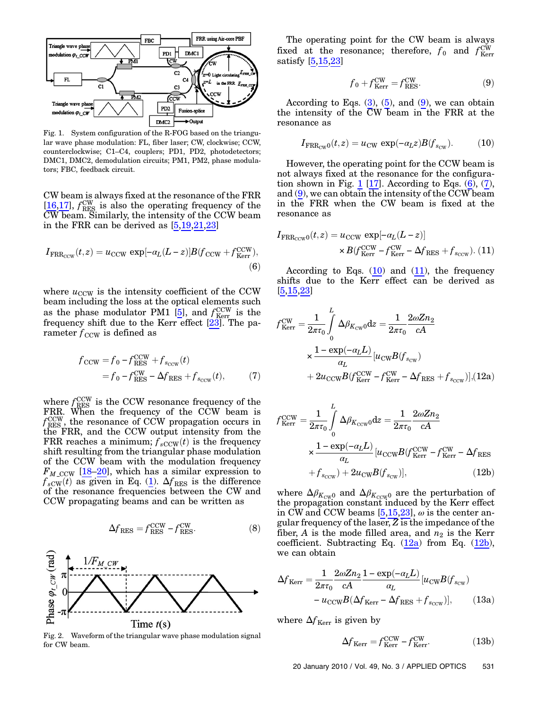<span id="page-2-0"></span>

Fig. 1. System configuration of the R-FOG based on the triangular wave phase modulation: FL, fiber laser; CW, clockwise; CCW, counterclockwise; C1–C4, couplers; PD1, PD2, photodetectors; DMC1, DMC2, demodulation circuits; PM1, PM2, phase modulators; FBC, feedback circuit.

<span id="page-2-3"></span>CW beam is always fixed at the resonance of the FRR [16,17],  $f_{\text{RES}}^{\text{CW}}$  is also the operating frequency of the CW beam. Similarly, the intensity of the CCW beam in the FRR can be derived as [5,19,21,23]

$$
I_{\text{FRR}_{\text{CCW}}}(t,z) = u_{\text{CCW}} \exp[-\alpha_L (L-z)] B (f_{\text{CCW}} + f_{\text{Kerr}}^{\text{CCW}}),\tag{6}
$$

<span id="page-2-4"></span>where  $u_{\text{CCW}}$  is the intensity coefficient of the CCW beam including the loss at the optical elements such as the phase modulator PM1 [5], and  $f_{\text{Kerr}}^{\text{CCW}}$  is the frequency shift due to the Kerr effect  $[23]$ . The parameter  $f_{\text{CCW}}$  is defined as

$$
f_{\text{CCW}} = f_0 - f_{\text{RES}}^{\text{CCW}} + f_{s_{\text{CCW}}}(t)
$$
  
=  $f_0 - f_{\text{RES}}^{\text{CW}} - \Delta f_{\text{RES}} + f_{s_{\text{CCW}}}(t)$ , (7)

where  $f_{\text{RES}}^{\text{CCW}}$  is the CCW resonance frequency of the FRR. When the frequency of the CCW beam is  $f_{\text{RES}}^{\text{CCW}}$ , the resonance of CCW propagation occurs in the FRR, and the CCW output intensity from the FRR reaches a minimum;  $f_{sCCW}(t)$  is the frequency shift resulting from the triangular phase modulation of the CCW beam with the modulation frequency  $F_{M\_{\text{CCW}}}$  [18–20], which has a similar expression to  $f_{s\text{CW}}(t)$  as given in Eq. ([1](#page-1-0)).  $\Delta f_{\text{RES}}$  is the difference of the resonance frequencies between the CW and CCW propagating beams and can be written as

$$
\Delta f_{\rm RES} = f_{\rm RES}^{\rm CCW} - f_{\rm RES}^{\rm CW}.
$$
 (8)

<span id="page-2-1"></span>

Fig. 2. Waveform of the triangular wave phase modulation signal for CW beam.

<span id="page-2-2"></span>The operating point for the CW beam is always fixed at the resonance; therefore,  $f_0$  and  $f_{\text{Kerr}}^{\text{CW}}$ satisfy [5,15,23]

$$
f_0 + f_{\text{Kerr}}^{\text{CW}} = f_{\text{RES}}^{\text{CW}}.
$$
 (9)

<span id="page-2-5"></span>According to Eqs.  $(3)$  $(3)$  $(3)$ ,  $(5)$ , and  $(9)$  $(9)$  $(9)$ , we can obtain the intensity of the CW beam in the FRR at the resonance as

$$
I_{\text{FRR}_{\text{CW}}(t,z)} = u_{\text{CW}} \, \exp(-a_L z) B(f_{s_{\text{CW}}}). \tag{10}
$$

However, the operating point for the CCW beam is not always fixed at the resonance for the configura-tion shown in Fig. [1](#page-2-0) [1[7](#page-2-4)]. According to Eqs.  $(6)$ ,  $(7)$ , and ([9](#page-2-2)), we can obtain the intensity of the CCW beam in the FRR when the CW beam is fixed at the resonance as

<span id="page-2-6"></span>
$$
I_{\text{FRR}_{\text{CCW}}0}(t,z) = u_{\text{CCW}} \exp[-\alpha_L (L - z)]
$$
  
 
$$
\times B(f_{\text{Kerr}}^{\text{CCW}} - f_{\text{Kerr}}^{\text{CW}} - \Delta f_{\text{RES}} + f_{s_{\text{CCW}}}).
$$
 (11)

According to Eqs.  $(10)$  $(10)$  $(10)$  and  $(11)$ , the frequency shifts due to the Kerr effect can be derived as [5,15,23]

<span id="page-2-7"></span>
$$
f_{\text{Kerr}}^{\text{CW}} = \frac{1}{2\pi\tau_0} \int_0^L \Delta \beta_{K_{\text{CW}}0} \, dz = \frac{1}{2\pi\tau_0} \frac{2\omega Z n_2}{cA}
$$

$$
\times \frac{1 - \exp(-\alpha_L L)}{\alpha_L} \left[ u_{\text{CW}} B(f_{s_{\text{CW}}}) + 2u_{\text{CCW}} B(f_{\text{Kerr}}^{\text{CW}} - f_{\text{Kerr}}^{\text{CW}} - \Delta f_{\text{RES}} + f_{s_{\text{CCW}}} \right], (12a)
$$

$$
f_{\text{Kerr}}^{\text{CCW}} = \frac{1}{2\pi\tau_0} \int_0^L \Delta \beta_{K_{\text{CCW}}0} \text{d}z = \frac{1}{2\pi\tau_0} \frac{2\omega Z n_2}{cA}
$$

$$
\times \frac{1 - \exp(-\alpha_L L)}{\alpha_L} \left[ u_{\text{CCW}} B(f_{\text{Kerr}}^{\text{CCW}} - f_{\text{Kerr}}^{\text{CW}} - \Delta f_{\text{RES}} \right]
$$

$$
+ f_{s_{\text{CCW}}} + 2u_{\text{CW}} B(f_{s_{\text{CW}}}) \right], \tag{12b}
$$

where  $\Delta \beta_{K_{\text{CW}}0}$  and  $\Delta \beta_{K_{\text{CCW}}0}$  are the perturbation of the propagation constant induced by the Kerr effect in CW and CCW beams  $[5,15,23]$ ,  $\omega$  is the center angular frequency of the laser, Z is the impedance of the fiber, A is the mode filled area, and  $n_2$  is the Kerr coefficient. Subtracting Eq.  $(12a)$  $(12a)$  $(12a)$  from Eq.  $(12b)$  $(12b)$ , we can obtain

<span id="page-2-8"></span>
$$
\Delta f_{\text{Kerr}} = \frac{1}{2\pi\tau_0} \frac{2\omega Z n_2}{cA} \frac{1 - \exp(-\alpha_L L)}{\alpha_L} \left[ u_{\text{CW}} B(f_{s_{\text{CW}}}) - u_{\text{CCW}} B(\Delta f_{\text{Kerr}} - \Delta f_{\text{RES}} + f_{s_{\text{CCW}}} ) \right],\tag{13a}
$$

<span id="page-2-9"></span>where  $\Delta f_{\text{Kerr}}$  is given by

$$
\Delta f_{\text{Kerr}} = f_{\text{Kerr}}^{\text{CCW}} - f_{\text{Kerr}}^{\text{CW}}.
$$
 (13b)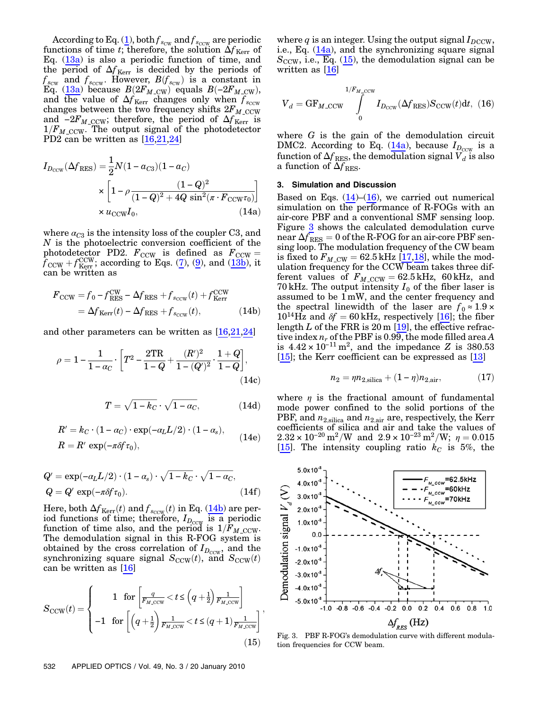According to Eq. [\(1\)](#page-1-0), both  $f_{s_{\text{CW}}}$  and  $f_{s_{\text{CCW}}}$  are periodic functions of time t; therefore, the solution  $\Delta f_{\text{Kerr}}$  of Eq.  $(13a)$  $(13a)$  $(13a)$  is also a periodic function of time, and the period of  $\Delta f_{\text{Kerr}}$  is decided by the periods of  $f_{s_{\text{CUV}}}$  and  $f_{s_{\text{CCW}}}$ . However,  $B(f_{s_{\text{CW}}})$  is a constant in  $F_{\text{G}}(13a)$  because  $B(2F_M \text{ cm})$  equals  $B(-2F_M \text{ cm})$ .  $\widetilde{E}_{\text{q}}^{\text{c}}$  ([13a](#page-2-8)) because  $B(2F_{M,\text{cw}})$  equals  $B(-2F_{M,\text{cw}})$ , and the value of  $\Delta F_{M,\text{c}}$  changes only when f and the value of  $\Delta f_{\text{Kerr}}$  changes only when  $f_{\text{sccw}}$ changes between the two frequency shifts  $2F_{M_{\odot}}$  CCW and  $-2F_{M \text{ ccW}}$ ; therefore, the period of  $\Delta f_{\text{Kerr}}$  is  $1/F_{M_{\rm CCW}}$ . The output signal of the photodetector PD2 can be written as [16,21,24]

<span id="page-3-1"></span>
$$
I_{D_{\text{CCW}}}(\Delta f_{\text{RES}}) = \frac{1}{2} N (1 - a_{C3}) (1 - a_C)
$$
  
 
$$
\times \left[ 1 - \rho \frac{(1 - Q)^2}{(1 - Q)^2 + 4Q \sin^2(\pi \cdot F_{\text{CCW}} \tau_0)} \right]
$$
  
 
$$
\times u_{\text{CCW}} I_0, \qquad (14a)
$$

where  $\alpha_{C3}$  is the intensity loss of the coupler C3, and N is the photoelectric conversion coefficient of the photodetector PD2.  $F_{\text{CCW}}$  is defined as  $F_{\text{CCW}} =$ <br> $f_{\text{CCW}} + f_{\text{CCW}}^{\text{CCW}}$  according to Eqs. (7) (9) and (13b) it  $\hat{f}_{\text{CCW}} + f_{\text{Kerr}}^{\text{CCW}}$ ; according to Eqs. [\(7\)](#page-2-4), ([9](#page-2-2)), and ([13b\)](#page-2-9), it can be written as can be written as

<span id="page-3-0"></span>
$$
F_{\text{CCW}} = f_0 - f_{\text{RES}}^{\text{CW}} - \Delta f_{\text{RES}} + f_{s_{\text{CCW}}}(t) + f_{\text{Kerr}}^{\text{CCW}} = \Delta f_{\text{Kerr}}(t) - \Delta f_{\text{RES}} + f_{s_{\text{CCW}}}(t),
$$
(14b)

and other parameters can be written as [16,21,24]

$$
\rho = 1 - \frac{1}{1 - \alpha_C} \cdot \left[ T^2 - \frac{2TR}{1 - Q} + \frac{(R')^2}{1 - (Q')^2} \cdot \frac{1 + Q}{1 - Q} \right],\tag{14c}
$$

$$
T = \sqrt{1 - k_C} \cdot \sqrt{1 - \alpha_C},\tag{14d}
$$

$$
R' = k_C \cdot (1 - \alpha_C) \cdot \exp(-\alpha_L L/2) \cdot (1 - \alpha_s),
$$
  
\n
$$
R = R' \exp(-\pi \delta f \tau_0),
$$
 (14e)

$$
Q' = \exp(-\alpha_L L/2) \cdot (1 - \alpha_s) \cdot \sqrt{1 - k_C} \cdot \sqrt{1 - \alpha_C},
$$
  
\n
$$
Q = Q' \exp(-\pi \delta f \tau_0).
$$
 (14f)

Here, both  $\Delta f_{\text{Kerr}}(t)$  and  $f_{\text{SCCW}}(t)$  in Eq. ([14b](#page-3-0)) are per-<br>iod functions of time; therefore,  $I_{D_{\text{CCW}}}$  is a periodic function of time also, and the period is  $1/F_{M \text{CCW}}$ . The demodulation signal in this R-FOG system is obtained by the cross correlation of  $I_{D_{\text{CCW}}}$ , and the synchronizing square signal  $S_{\text{CCW}}(t)$ , and  $S_{\text{CCW}}(t)$ can be written as [16]

<span id="page-3-2"></span>
$$
S_{\text{CCW}}(t) = \begin{cases} 1 & \text{for } \left[ \frac{q}{F_{M,\text{CCW}}} < t \le \left( q + \frac{1}{2} \right) \frac{1}{F_{M,\text{CCW}}} \right] \\ -1 & \text{for } \left[ \left( q + \frac{1}{2} \right) \frac{1}{F_{M,\text{CCW}}} < t \le (q+1) \frac{1}{F_{M,\text{CCW}}} \right] \end{cases} \tag{15}
$$

where q is an integer. Using the output signal  $I_{DCCW}$ , i.e., Eq. ([14a](#page-3-1)), and the synchronizing square signal  $S_{\text{CCW}}$ , i.e., Eq. ([15\)](#page-3-2), the demodulation signal can be written as [16]

<span id="page-3-3"></span>
$$
V_d = \text{GF}_{M\text{-CCW}} \int_{0}^{1/F_{M\text{-CCW}}} I_{D_{\text{CCW}}}(\Delta f_{\text{RES}}) S_{\text{CCW}}(t) dt, (16)
$$

where  $G$  is the gain of the demodulation circuit DMC2. According to Eq. [\(14a](#page-3-1)), because  $I_{D_{\text{CCW}}}$  is a function of  $\Delta f_{RES}$ , the demodulation signal  $\tilde{V}_d$  is also a function of  $\Delta f_{RES}$ .

#### <span id="page-3-5"></span>3. Simulation and Discussion

Based on Eqs.  $(14)$ – $(16)$  $(16)$ , we carried out numerical simulation on the performance of R-FOGs with an air-core PBF and a conventional SMF sensing loop. Figure [3](#page-3-4) shows the calculated demodulation curve near  $\Delta f_{RES} = 0$  of the R-FOG for an air-core PBF sensing loop. The modulation frequency of the CW beam is fixed to  $F_{M,CW} = 62.5$  kHz [17,18], while the modulation frequency for the CCW beam takes three different values of  $F_{M\text{-CCW}} = 62.5 \text{ kHz}$ , 60 kHz, and 70 kHz. The output intensity  $I_0$  of the fiber laser is assumed to be  $1 \text{mW}$ , and the center frequency and the spectral linewidth of the laser are  $f_0 \approx 1.9 \times$  $10^{14}$ Hz and  $\delta f = 60$  kHz, respectively [16]; the fiber length  $L$  of the FRR is 20 m  $[19]$ , the effective refractive index  $n_r$  of the PBF is 0.99, the mode filled area A is  $4.42 \times 10^{-11}$  m<sup>2</sup>, and the impedance Z is 380.53  $[15]$ ; the Kerr coefficient can be expressed as  $[13]$ 

$$
n_2 = \eta n_{2,\text{silica}} + (1 - \eta)n_{2,\text{air}},\tag{17}
$$

where  $\eta$  is the fractional amount of fundamental mode power confined to the solid portions of the PBF, and  $n_{2,\text{silica}}$  and  $n_{2,\text{air}}$  are, respectively, the Kerr coefficients of silica and air and take the values of  $2.32 \times 10^{-20} \text{ m}^2/\text{W}$  and  $2.9 \times 10^{-23} \text{ m}^2/\text{W}; \eta = 0.015$ [15]. The intensity coupling ratio  $k<sub>C</sub>$  is 5%, the

<span id="page-3-4"></span>

tion frequencies for CCW beam.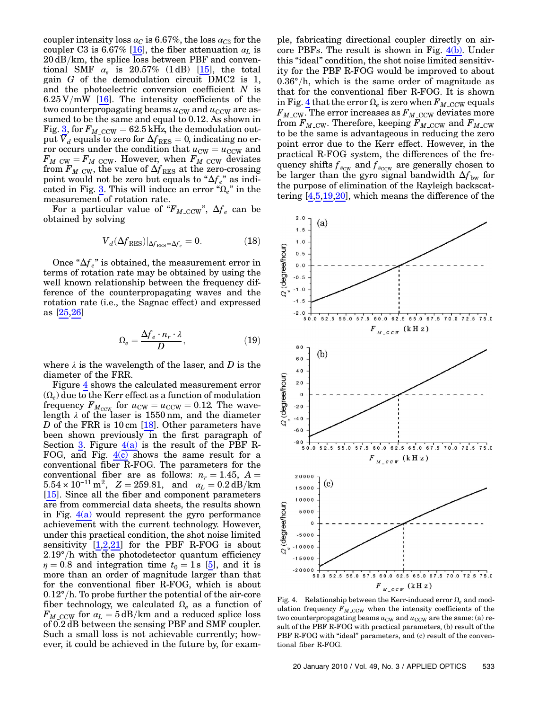coupler intensity loss  $\alpha_C$  is 6.67%, the loss  $\alpha_{C3}$  for the coupler C3 is 6.67% [16], the fiber attenuation  $\alpha_L$  is  $20 \text{ dB/km}$ , the splice loss between PBF and conventional SMF  $\alpha_s$  is 20.57% (1 dB) [15], the total gain G of the demodulation circuit DMC2 is 1, and the photoelectric conversion coefficient  $N$  is  $6.25 \text{V/mW}$  [16]. The intensity coefficients of the two counterpropagating beams  $u_{\text{CW}}$  and  $u_{\text{CCW}}$  are assumed to be the same and equal to 0.12. As shown in Fig. [3,](#page-3-4) for  $F_{M\_{\text{CCW}}}$  = 62.5 kHz, the demodulation output  $V_d$  equals to zero for  $\Delta f_{\rm RES} = 0$ , indicating no error occurs under the condition that  $u_{\text{CW}} = u_{\text{CCW}}$  and  $F_{M\_{\text{CW}}}=F_{M\_{\text{CCW}}}$ . However, when  $F_{M\_{\text{CCW}}}$  deviates from  $F_{M_{\sim}CW}$ , the value of  $\Delta f_{\rm RES}$  at the zero-crossing point would not be zero but equals to " $\Delta f_e$ " as indi-cated in Fig. [3](#page-3-4). This will induce an error " $\Omega_e$ " in the measurement of rotation rate.

For a particular value of " $F_{M\_{\text{CCW}}}$ ",  $\Delta f_e$  can be obtained by solving

$$
V_d(\Delta f_{RES})|_{\Delta f_{RES}=\Delta f_e} = 0.
$$
 (18)

Once " $\Delta f_e$ " is obtained, the measurement error in terms of rotation rate may be obtained by using the well known relationship between the frequency difference of the counterpropagating waves and the rotation rate (i.e., the Sagnac effect) and expressed as [25,26]

$$
\Omega_e = \frac{\Delta f_e \cdot n_r \cdot \lambda}{D},\tag{19}
$$

where  $\lambda$  is the wavelength of the laser, and D is the diameter of the FRR.

Figure [4](#page-4-0) shows the calculated measurement error  $(\Omega_e)$  due to the Kerr effect as a function of modulation frequency  $F_{M_{\text{CCW}}}$  for  $u_{\text{CW}} = u_{\text{CCW}} = 0.12$ . The wave-<br>length  $\lambda$  of the laser is 1550 nm, and the diameter D of the FRR is 10 cm  $[18]$ . Other parameters have been shown previously in the first paragraph of Section [3.](#page-3-5) Figure  $4(a)$  is the result of the PBF R-FOG, and Fig.  $4(c)$  shows the same result for a conventional fiber R-FOG. The parameters for the conventional fiber are as follows:  $n_r = 1.45$ ,  $A =$  $5.54 \times 10^{-11} \text{ m}^2$ ,  $Z = 259.81$ , and  $\alpha_L = 0.2 \text{ dB/km}$ [15]. Since all the fiber and component parameters are from commercial data sheets, the results shown in Fig.  $4(a)$  would represent the gyro performance achievement with the current technology. However, under this practical condition, the shot noise limited sensitivity [1,2,21] for the PBF R-FOG is about  $2.19^{\circ}/h$  with the photodetector quantum efficiency  $\eta = 0.8$  and integration time  $t_0 = 1$  s [5], and it is more than an order of magnitude larger than that for the conventional fiber R-FOG, which is about  $0.12^{\circ}/h$ . To probe further the potential of the air-core fiber technology, we calculated  $\Omega_e$  as a function of  $F_M$  ccw for  $\alpha_L = 5$  dB/km and a reduced splice loss of 0:2 dB between the sensing PBF and SMF coupler. Such a small loss is not achievable currently; however, it could be achieved in the future by, for exam-

ple, fabricating directional coupler directly on aircore PBFs. The result is shown in Fig.  $4(b)$ . Under this "ideal" condition, the shot noise limited sensitivity for the PBF R-FOG would be improved to about  $0.36^{\circ}/h$ , which is the same order of magnitude as that for the conventional fiber R-FOG. It is shown in Fig. [4](#page-4-0) that the error  $\Omega_e$  is zero when  $F_{M\_{\rm CCW}}$  equals  $F_{M\_{\rm CW}}$ . The error increases as  $F_{M\_{\rm CCW}}$  deviates more from  $F_{M\_{\text{CW}}}$ . Therefore, keeping  $F_{M\_{\text{CCW}}}$  and  $F_{M\_{\text{CW}}}$ to be the same is advantageous in reducing the zero point error due to the Kerr effect. However, in the practical R-FOG system, the differences of the frequency shifts  $f_{s_{\text{CW}}}$  and  $f_{s_{\text{CCW}}}$  are generally chosen to be larger than the gyro signal bandwidth  $\Delta f_{\rm bw}$  for the purpose of elimination of the Rayleigh backscattering [4,5,19,20], which means the difference of the

<span id="page-4-0"></span>

<span id="page-4-1"></span>Fig. 4. Relationship between the Kerr-induced error  $\Omega_e$  and modulation frequency  $F_{M\_{\rm CCW}}$  when the intensity coefficients of the two counterpropagating beams  $u_{\text{CW}}$  and  $u_{\text{CCW}}$  are the same: (a) result of the PBF R-FOG with practical parameters, (b) result of the PBF R-FOG with "ideal" parameters, and (c) result of the conventional fiber R-FOG.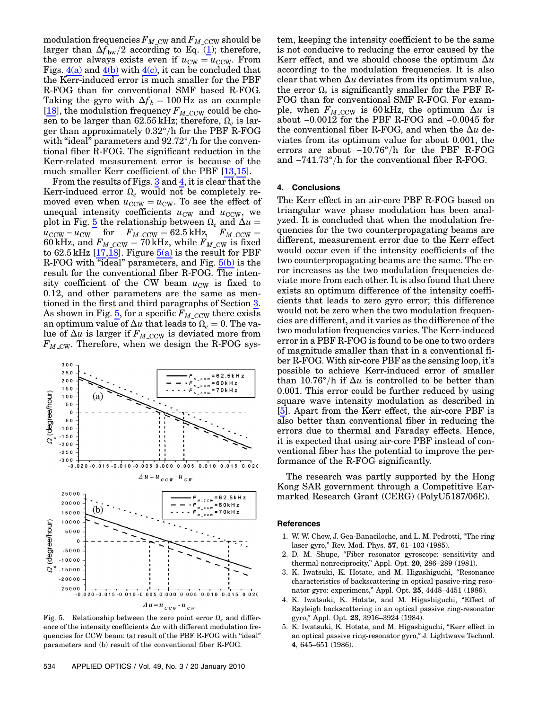modulation frequencies  $F_{M\_{\text{CW}}}$  and  $F_{M\_{\text{CCW}}}$  should be larger than  $\Delta f_{\rm bw}/2$  according to Eq. ([1](#page-1-0)); therefore, the error always exists even if  $u_{\text{CW}} = u_{\text{CCW}}$ . From Figs.  $4(a)$  and  $4(b)$  with  $4(c)$ , it can be concluded that the Kerr-induced error is much smaller for the PBF R-FOG than for conventional SMF based R-FOG. Taking the gyro with  $\Delta f_b = 100$  Hz as an example [18], the modulation frequency  $F_{M\_{\rm CCW}}$  could be chosen to be larger than 62.55 kHz; therefore,  $\Omega_e$  is larger than approximately  $0.32^{\circ}/h$  for the PBF R-FOG with "ideal" parameters and  $92.72^{\circ}/h$  for the conventional fiber R-FOG. The significant reduction in the Kerr-related measurement error is because of the much smaller Kerr coefficient of the PBF [13,15].

From the results of Figs. [3](#page-3-4) and [4](#page-4-0), it is clear that the Kerr-induced error  $\Omega_e$  would not be completely removed even when  $u_{\text{CCW}} = u_{\text{CW}}$ . To see the effect of unequal intensity coefficients  $u_{\text{CW}}$  and  $u_{\text{CCW}}$ , we plot in Fig. [5](#page-5-0) the relationship between  $\Omega_e$  and  $\Delta u =$  $u_{\text{CCW}} - u_{\text{CW}}$  for  $F_{M,\text{CCW}} = 62.5 \text{ kHz}$ ,  $F_{M,\text{CCW}} = 60 \text{ kHz}$  and  $F_{M,\text{CCW}} = 70 \text{ kHz}$  while  $F_{M,\text{CW}}$  is fixed 60 kHz, and  $F_{M\text{-CCW}} = 70$  kHz, while  $F_{M\text{-CW}}$  is fixed to 62.5 kHz [17, 18]. Figure 5(a) is the result for PBF to  $62.5$  kHz [17,18]. Figure  $5(a)$  is the result for PBF R-FOG with "ideal" parameters, and Fig. [5\(b\)](#page-5-1) is the result for the conventional fiber R-FOG. The intensity coefficient of the CW beam  $u_{\text{CW}}$  is fixed to 0.12, and other parameters are the same as mentioned in the first and third paragraphs of Section [3](#page-3-5). As shown in Fig. [5](#page-5-0), for a specific  $F_{M\_{\text{CCW}}}$  there exists an optimum value of  $\Delta u$  that leads to  $\Omega_e = 0$ . The value of  $\Delta u$  is larger if  $F_{M_{\text{CCW}}}$  is deviated more from  $F_M$  cw. Therefore, when we design the R-FOG sys-

<span id="page-5-0"></span>

<span id="page-5-1"></span>Fig. 5. Relationship between the zero point error  $\Omega_e$  and difference of the intensity coefficients  $\Delta u$  with different modulation frequencies for CCW beam: (a) result of the PBF R-FOG with "ideal" parameters and (b) result of the conventional fiber R-FOG.

tem, keeping the intensity coefficient to be the same is not conducive to reducing the error caused by the Kerr effect, and we should choose the optimum  $\Delta u$ according to the modulation frequencies. It is also clear that when  $\Delta u$  deviates from its optimum value, the error  $\Omega_e$  is significantly smaller for the PBF R-FOG than for conventional SMF R-FOG. For example, when  $F_{M\_{\text{CCW}}}$  is 60 kHz, the optimum  $\Delta u$  is about −0:0012 for the PBF R-FOG and −0:0045 for the conventional fiber R-FOG, and when the  $\Delta u$  deviates from its optimum value for about 0.001, the errors are about  $-10.76^{\circ}/h$  for the PBF R-FOG and  $-741.73^{\circ}/h$  for the conventional fiber R-FOG.

## 4. Conclusions

The Kerr effect in an air-core PBF R-FOG based on triangular wave phase modulation has been analyzed. It is concluded that when the modulation frequencies for the two counterpropagating beams are different, measurement error due to the Kerr effect would occur even if the intensity coefficients of the two counterpropagating beams are the same. The error increases as the two modulation frequencies deviate more from each other. It is also found that there exists an optimum difference of the intensity coefficients that leads to zero gyro error; this difference would not be zero when the two modulation frequencies are different, and it varies as the difference of the two modulation frequencies varies. The Kerr-induced error in a PBF R-FOG is found to be one to two orders of magnitude smaller than that in a conventional fiber R-FOG. With air-core PBF as the sensing loop, it'<sup>s</sup> possible to achieve Kerr-induced error of smaller than 10.76°/h if  $\Delta u$  is controlled to be better than 0.001. This error could be further reduced by using square wave intensity modulation as described in [5]. Apart from the Kerr effect, the air-core PBF is also better than conventional fiber in reducing the errors due to thermal and Faraday effects. Hence, it is expected that using air-core PBF instead of conventional fiber has the potential to improve the performance of the R-FOG significantly.

The research was partly supported by the Hong Kong SAR government through a Competitive Earmarked Research Grant (CERG) (PolyU5187/06E).

#### References

- 1. W. W. Chow, J. Gea-Banaciloche, and L. M. Pedrotti, "The ring laser gyro," Rev. Mod. Phys. <sup>57</sup>, 61–103 (1985).
- 2. D. M. Shupe, "Fiber resonator gyroscope: sensitivity and thermal nonreciprocity," Appl. Opt. <sup>20</sup>, 286–289 (1981).
- 3. K. Iwatsuki, K. Hotate, and M. Higashiguchi, "Resonance characteristics of backscattering in optical passive-ring resonator gyro: experiment," Appl. Opt. <sup>25</sup>, 4448–4451 (1986).
- 4. K. Iwatsuki, K. Hotate, and M. Higashiguchi, "Effect of Rayleigh backscattering in an optical passive ring-resonator gyro," Appl. Opt. <sup>23</sup>, 3916–3924 (1984).
- 5. K. Iwatsuki, K. Hotate, and M. Higashiguchi, "Kerr effect in an optical passive ring-resonator gyro," J. Lightwave Technol. <sup>4</sup>, 645–651 (1986).